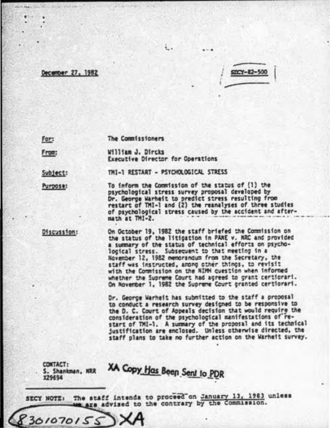# December 27, 1982

 $500 - 82 - 500$ 

For:

#### The Commissioners

From:

William J. Dircks **Executive Director for Operations** 

Subject:

THI-1 RESTART - PSYCHOLOGICAL STRESS

Purpose:

To inform the Commission of the status of (1) the psychological stress survey proposal developed by Dr. George Warheit to predict stress resulting from restart of TMI-1 and (2) the reanalyses of three studies of psychological stress caused by the accident and aftermath at TMI-2.

Discussion:

On October 19, 1982 the staff briefed the Commission on the status of the litigation in PANE v. NRC and provided a summary of the status of technical efforts on psycholocical stress. Subsequent to that meeting in a November 12, 1982 memorandum from the Secretary, the staff was instructed, arong other things, to revisit with the Commission on the NIMM question when informed whether the Supreme Court had agreed to grant certiorari. On November 1, 1982 the Supreme Court granted certiorari.

Dr. George Warheit has submitted to the staff a proposal to conduct a research survey designed to be responsive to the D. C. Court of Appeals decision that would require the consideration of the psychological manifestations of restart of TMI-1. A summary of the proposal and its technical justification are enclosed. Unless otherwise directed, the staff plans to take no further action on the Warhelt survey.

CONTACT: S. Shankman, NRR **X29694** 

8301070155

XA Copy Has Been Sent to PDR

The staff intends to proceed on January 13, 1983 unless SECY NOTE: we are advised to the contrary by the Commission.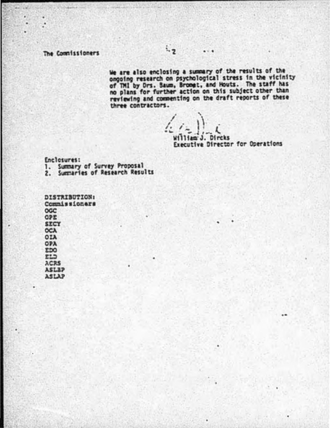### The Commissioners

We are also enclosing a summary of the results of the<br>ongoing research on psychological stress in the vicinity<br>of TMI by Ors. Sawm, Bromet, and Mouts. The staff has<br>no plans for further action on this subject other than<br>re three contractors.

 $\cdots$ 

liam J. Dircks

Executive Director for Operations

Enclosures:

1. Summary of Survey Proposal<br>2. Summaries of Research Results

| <b>DISTRIBUTION</b> |  |
|---------------------|--|
| Commissioner        |  |
|                     |  |
| <b>OGC</b>          |  |
| OPE                 |  |
| <b>SECY</b>         |  |
|                     |  |
| <b>OCA</b>          |  |
| <b>OIA</b>          |  |
|                     |  |
| <b>OPA</b>          |  |
| <b>EDO</b>          |  |
|                     |  |
| ELD                 |  |
| <b>ACRS</b>         |  |
| <b>ASLEP</b>        |  |
|                     |  |
| <b>ASLAP</b>        |  |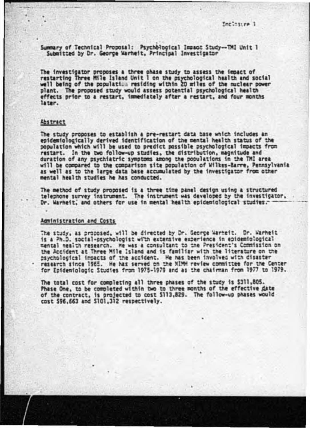Summary of Technical Proposal: Psychological Impact Study--TMI Unit 1 Submitted by Dr. George Warhelt, Principal Investigator

The investigator proposes a three phase study to assess the iepact of<br>restarting Three Mile Island Unit I on the psychological health and social<br>well being of the population residing within 20 miles of the nuclear power plant. The proposed study would assess potential psychological health effects prior to a restart, immediately after a restart, and four months later.

### Abstract

The study proposes to establish a pre-restart data base which includes an epidemiologically derived identification of the mental health status of the population which will be used to predict possible psychological impacts from restart. In the two follow-up studies, the distribution, magnitude and duration of any psychiatric symptoms among the populations in the TMI area will be compared to the comparison site population of Wilkes-Barre, Pennsylvania as well as to the large data base accumulated by the investigator from other mental health studies he has conducted.

The method of study proposed is a three time panel design using a structured telephone survey instrument. The instrument was developed by the investigator.

## Administration and Costs

The study, as proposed, will be directed by Dr. George Warheit. Dr. Warheit is a Ph.D. social-esychologist with extensive experience in epidemiological mental nealth research. He was a consultant to the President's Commission on the Accident at Three Mile Island and is familiar with the literature on the psychological impacts of the accident. He has been involved with disaster research since 1965. He has served on the NIMM review committee for the Center for Epidemiologic Studies from 1975-1979 and as the chairman from 1977 to 1979.

The total cost for completing all three phases of the study is \$311,805. Phase One, to be completed within two to three months of the effective date of the contract, is projected to cost \$113,829. The follow-up phases would cost \$96,663 and \$101,312 respectively.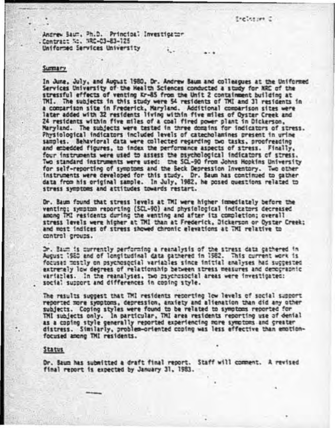Andrew Saum, Ph.D. Principal Investigator . Contract No. NRC-03-83-125 Uniformed Services University

#### SUTTLETY

In June, July, and August 1980, Dr. Andrew Baum and colleagues at the Uniformed Services University of the Health Sciences conducted a study for NRC of the stressful effects of venting Kr-85 from the Unit 2 containment building at TMI. The subjects in this study were 54 residents of TMI and 31 residents in a comparison site in Frederick, Maryland. Additional comparison sites were later added with 32 residents living within five miles of Oyster Creek and 24 residents within five miles of a coal fired power plant in Dickerson. Maryland. The subjects were tested in three domains for indicators of stress. Physiological indicators included levels of catecholamines present in urine samples. Behavioral data were collected regarding two tasks, proofreading and embedded figures, to index the performance aspects of stress. Finally, four instruments were used to assess the psychological indicators of stress. Two standard instruments were used: the SCL-90 from Johns Hopkins University for self-reporting of symptoms and the Seck Depression Inventory. Two other instruments were developed for this study. Dr. Baum has continued to gather data from his original sample. In July, 1982, he posed questions related to stress symptoms and attitudes towards restart.

Dr. Baum found that stress levels at TMI were higher immediately before the venting; symptom reporting (SCL-90) and physiological indicators decreased among TMI residents during the wenting and after its completion; overall stress levels were higher at TMI than at Frederick, Dickerson or Oyster Creek; and most indices of stress showed chronic elevations at TMI relative to control groups.

Dr. Baum is currently performing a reanalysis of the stress data gathered in August 1980 and of longitudinal data gathered in 1982. This current work is focuses mostly on psychosocial variables since initial analyses had suggested extremely low degrees of relationship between stress measures and democraphic variables. In the reanalyses, two psychosocial areas were investigated: social support and differences in coping style.

The results suggest that TMI residents recorting low levels of social support reported more symptoms, depression, anxiety and alienation than did any other subjects. Coping styles were found to be related to symptoms reported for TMI subjects only. In particular, TMI area residents reporting use of denial as a coping style generally reported experiencing more symptoms and greater distress. Similarly, problem-oriented coping was less effective than emotionfocused among TMI residents.

### Status

Dr. Saum has submitted a draft final report. Staff will comment. A revised final report is expected by January 31, 1983.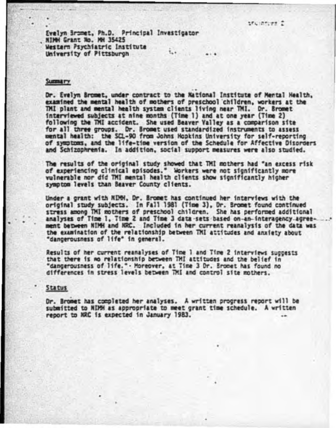Evelyn Bromet, Ph.D. Principal Investigator NTMH Grant No. MH 35425 Western Psychiatric Institute University of Pittsburgh

### **Summary**

Dr. Evelyn Bromet, under contract to the Mational Institute of Mental Health. examined the mental health of mothers of preschool children, workers at the TMI plant and mental health system clients living near TMI. Dr. Bromet interviewed subjects at nine months (Time 1) and at one year (Time 2) following the TMI accident. She used Beaver Valley as a comparison site<br>for all three groups. Or. Bromet used standardized instruments to assess<br>mental health: the SCL-90 from Johns Hopkins University for self-reporting of symptoms, and the life-time version of the Schedule for Affective Disorders and Schizophrenia. In addition, social support measures were also studied.

The results of the original study showed that TMI mothers had "an excess risk of experiencing clinical episodes." Workers were not significantly more vulnerable nor did TMI mental health clients show significantly higher symptom levels than Beaver County clients.

Under a grant with NDM, Dr. Bromet has continued her interviews with the original study subjects. In Fall 1981 (Time 3), Dr. Bromet found continued stress among TMI mothers of preschool children. She has performed additional analyses of Time 1, Time 2 and Time 3 data-sets based on-an-interagency-agreement between NIMH and NRC. Included in her current reanalysis of the data was the examination of the relationship between TMI attitudes and anxiety about "dancerousness of life" in general.

Results of her current reanalyses of Time 1 and Time 2 interviews succests that there is no relationship between TMI attitudes and the belief in "dangerousness of life." - Moreover, at Time 3 Dr. Bromet has found no differences in stress levels between TMI and control site mothers.

#### Status

Dr. Bromet has completed her analyses. A written progress report will be submitted to NIPH as appropriate to meet grant time schedule. A written report to NRC is expected in January 1983.